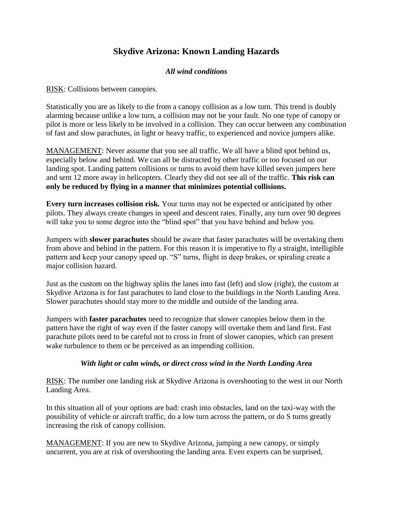# **Skydive Arizona: Known Landing Hazards**

## *All wind conditions*

RISK: Collisions between canopies.

Statistically you are as likely to die from a canopy collision as a low turn. This trend is doubly alarming because unlike a low turn, a collision may not be your fault. No one type of canopy or pilot is more or less likely to be involved in a collision. They can occur between any combination of fast and slow parachutes, in light or heavy traffic, to experienced and novice jumpers alike.

MANAGEMENT: Never assume that you see all traffic. We all have a blind spot behind us, especially below and behind. We can all be distracted by other traffic or too focused on our landing spot. Landing pattern collisions or turns to avoid them have killed seven jumpers here and sent 12 more away in helicopters. Clearly they did not see all of the traffic. **This risk can only be reduced by flying in a manner that minimizes potential collisions.**

**Every turn increases collision risk***.* Your turns may not be expected or anticipated by other pilots. They always create changes in speed and descent rates. Finally, any turn over 90 degrees will take you to some degree into the "blind spot" that you have behind and below you.

Jumpers with **slower parachutes** should be aware that faster parachutes will be overtaking them from above and behind in the pattern. For this reason it is imperative to fly a straight, intelligible pattern and keep your canopy speed up. "S" turns, flight in deep brakes, or spiraling create a major collision hazard.

Just as the custom on the highway splits the lanes into fast (left) and slow (right), the custom at Skydive Arizona is for fast parachutes to land close to the buildings in the North Landing Area. Slower parachutes should stay more to the middle and outside of the landing area.

Jumpers with **faster parachutes** need to recognize that slower canopies below them in the pattern have the right of way even if the faster canopy will overtake them and land first. Fast parachute pilots need to be careful not to cross in front of slower canopies, which can present wake turbulence to them or be perceived as an impending collision.

# *With light or calm winds, or direct cross wind in the North Landing Area*

RISK: The number one landing risk at Skydive Arizona is overshooting to the west in our North Landing Area.

In this situation all of your options are bad: crash into obstacles, land on the taxi-way with the possibility of vehicle or aircraft traffic, do a low turn across the pattern, or do S turns greatly increasing the risk of canopy collision.

MANAGEMENT: If you are new to Skydive Arizona, jumping a new canopy, or simply uncurrent, you are at risk of overshooting the landing area. Even experts can be surprised,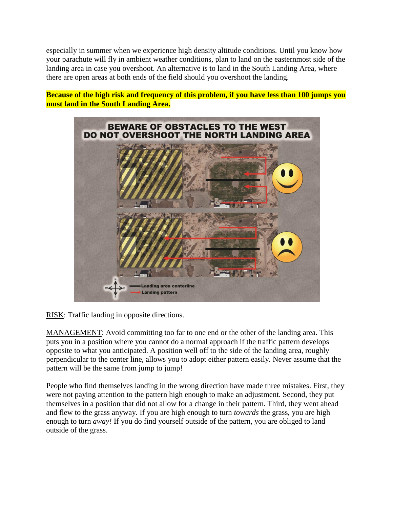especially in summer when we experience high density altitude conditions. Until you know how your parachute will fly in ambient weather conditions, plan to land on the easternmost side of the landing area in case you overshoot. An alternative is to land in the South Landing Area, where there are open areas at both ends of the field should you overshoot the landing.

**Because of the high risk and frequency of this problem, if you have less than 100 jumps you must land in the South Landing Area.**



RISK: Traffic landing in opposite directions.

MANAGEMENT: Avoid committing too far to one end or the other of the landing area. This puts you in a position where you cannot do a normal approach if the traffic pattern develops opposite to what you anticipated. A position well off to the side of the landing area, roughly perpendicular to the center line, allows you to adopt either pattern easily. Never assume that the pattern will be the same from jump to jump!

People who find themselves landing in the wrong direction have made three mistakes. First, they were not paying attention to the pattern high enough to make an adjustment. Second, they put themselves in a position that did not allow for a change in their pattern. Third, they went ahead and flew to the grass anyway. If you are high enough to turn *towards* the grass, you are high enough to turn *away!* If you do find yourself outside of the pattern, you are obliged to land outside of the grass.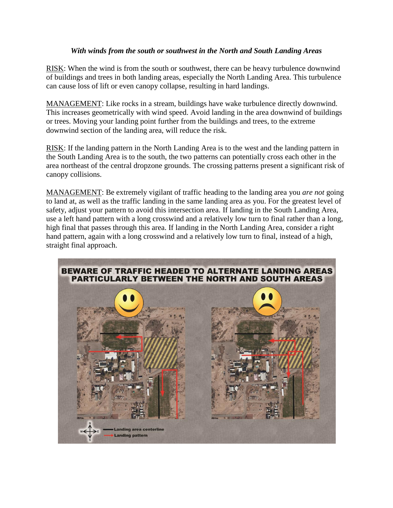#### *With winds from the south or southwest in the North and South Landing Areas*

RISK: When the wind is from the south or southwest, there can be heavy turbulence downwind of buildings and trees in both landing areas, especially the North Landing Area. This turbulence can cause loss of lift or even canopy collapse, resulting in hard landings.

MANAGEMENT: Like rocks in a stream, buildings have wake turbulence directly downwind. This increases geometrically with wind speed. Avoid landing in the area downwind of buildings or trees. Moving your landing point further from the buildings and trees, to the extreme downwind section of the landing area, will reduce the risk.

RISK: If the landing pattern in the North Landing Area is to the west and the landing pattern in the South Landing Area is to the south, the two patterns can potentially cross each other in the area northeast of the central dropzone grounds. The crossing patterns present a significant risk of canopy collisions.

MANAGEMENT: Be extremely vigilant of traffic heading to the landing area you *are not* going to land at, as well as the traffic landing in the same landing area as you. For the greatest level of safety, adjust your pattern to avoid this intersection area. If landing in the South Landing Area, use a left hand pattern with a long crosswind and a relatively low turn to final rather than a long, high final that passes through this area. If landing in the North Landing Area, consider a right hand pattern, again with a long crosswind and a relatively low turn to final, instead of a high, straight final approach.